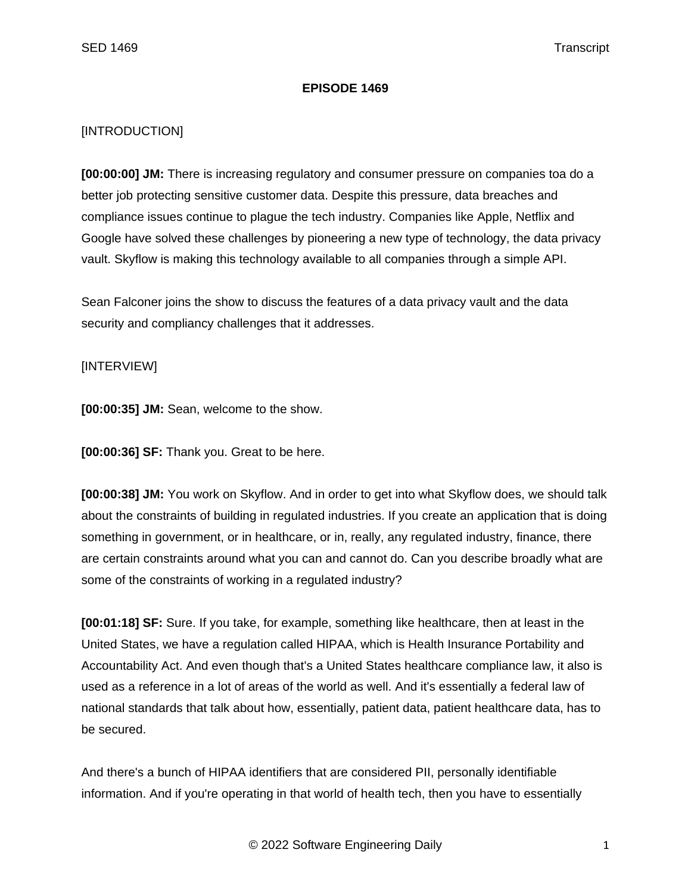## **EPISODE 1469**

## [INTRODUCTION]

**[00:00:00] JM:** There is increasing regulatory and consumer pressure on companies toa do a better job protecting sensitive customer data. Despite this pressure, data breaches and compliance issues continue to plague the tech industry. Companies like Apple, Netflix and Google have solved these challenges by pioneering a new type of technology, the data privacy vault. Skyflow is making this technology available to all companies through a simple API.

Sean Falconer joins the show to discuss the features of a data privacy vault and the data security and compliancy challenges that it addresses.

## [INTERVIEW]

**[00:00:35] JM:** Sean, welcome to the show.

**[00:00:36] SF:** Thank you. Great to be here.

**[00:00:38] JM:** You work on Skyflow. And in order to get into what Skyflow does, we should talk about the constraints of building in regulated industries. If you create an application that is doing something in government, or in healthcare, or in, really, any regulated industry, finance, there are certain constraints around what you can and cannot do. Can you describe broadly what are some of the constraints of working in a regulated industry?

**[00:01:18] SF:** Sure. If you take, for example, something like healthcare, then at least in the United States, we have a regulation called HIPAA, which is Health Insurance Portability and Accountability Act. And even though that's a United States healthcare compliance law, it also is used as a reference in a lot of areas of the world as well. And it's essentially a federal law of national standards that talk about how, essentially, patient data, patient healthcare data, has to be secured.

And there's a bunch of HIPAA identifiers that are considered PII, personally identifiable information. And if you're operating in that world of health tech, then you have to essentially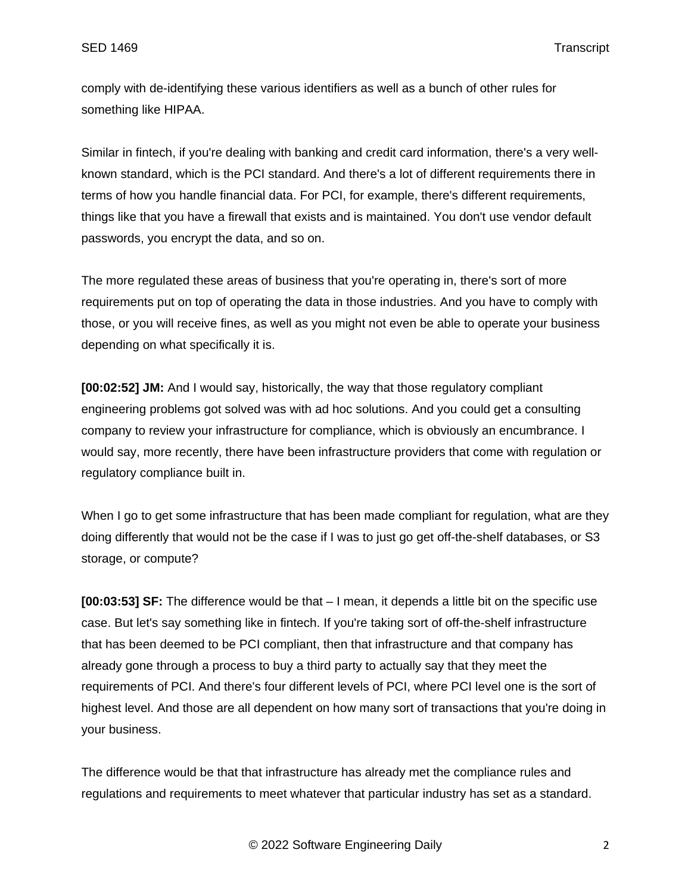comply with de-identifying these various identifiers as well as a bunch of other rules for something like HIPAA.

Similar in fintech, if you're dealing with banking and credit card information, there's a very wellknown standard, which is the PCI standard. And there's a lot of different requirements there in terms of how you handle financial data. For PCI, for example, there's different requirements, things like that you have a firewall that exists and is maintained. You don't use vendor default passwords, you encrypt the data, and so on.

The more regulated these areas of business that you're operating in, there's sort of more requirements put on top of operating the data in those industries. And you have to comply with those, or you will receive fines, as well as you might not even be able to operate your business depending on what specifically it is.

**[00:02:52] JM:** And I would say, historically, the way that those regulatory compliant engineering problems got solved was with ad hoc solutions. And you could get a consulting company to review your infrastructure for compliance, which is obviously an encumbrance. I would say, more recently, there have been infrastructure providers that come with regulation or regulatory compliance built in.

When I go to get some infrastructure that has been made compliant for regulation, what are they doing differently that would not be the case if I was to just go get off-the-shelf databases, or S3 storage, or compute?

**[00:03:53] SF:** The difference would be that – I mean, it depends a little bit on the specific use case. But let's say something like in fintech. If you're taking sort of off-the-shelf infrastructure that has been deemed to be PCI compliant, then that infrastructure and that company has already gone through a process to buy a third party to actually say that they meet the requirements of PCI. And there's four different levels of PCI, where PCI level one is the sort of highest level. And those are all dependent on how many sort of transactions that you're doing in your business.

The difference would be that that infrastructure has already met the compliance rules and regulations and requirements to meet whatever that particular industry has set as a standard.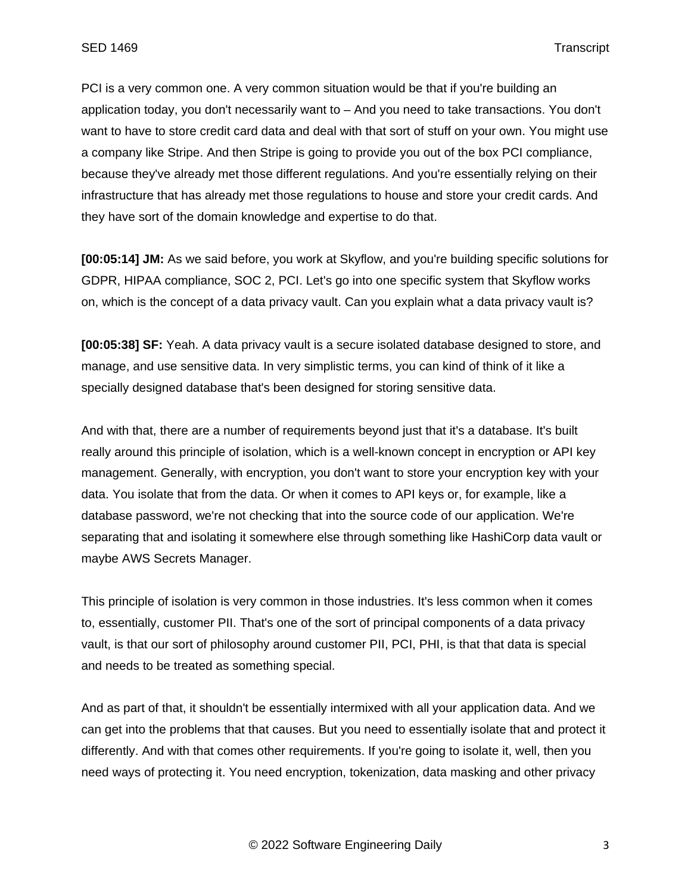PCI is a very common one. A very common situation would be that if you're building an application today, you don't necessarily want to – And you need to take transactions. You don't want to have to store credit card data and deal with that sort of stuff on your own. You might use a company like Stripe. And then Stripe is going to provide you out of the box PCI compliance, because they've already met those different regulations. And you're essentially relying on their infrastructure that has already met those regulations to house and store your credit cards. And they have sort of the domain knowledge and expertise to do that.

**[00:05:14] JM:** As we said before, you work at Skyflow, and you're building specific solutions for GDPR, HIPAA compliance, SOC 2, PCI. Let's go into one specific system that Skyflow works on, which is the concept of a data privacy vault. Can you explain what a data privacy vault is?

**[00:05:38] SF:** Yeah. A data privacy vault is a secure isolated database designed to store, and manage, and use sensitive data. In very simplistic terms, you can kind of think of it like a specially designed database that's been designed for storing sensitive data.

And with that, there are a number of requirements beyond just that it's a database. It's built really around this principle of isolation, which is a well-known concept in encryption or API key management. Generally, with encryption, you don't want to store your encryption key with your data. You isolate that from the data. Or when it comes to API keys or, for example, like a database password, we're not checking that into the source code of our application. We're separating that and isolating it somewhere else through something like HashiCorp data vault or maybe AWS Secrets Manager.

This principle of isolation is very common in those industries. It's less common when it comes to, essentially, customer PII. That's one of the sort of principal components of a data privacy vault, is that our sort of philosophy around customer PII, PCI, PHI, is that that data is special and needs to be treated as something special.

And as part of that, it shouldn't be essentially intermixed with all your application data. And we can get into the problems that that causes. But you need to essentially isolate that and protect it differently. And with that comes other requirements. If you're going to isolate it, well, then you need ways of protecting it. You need encryption, tokenization, data masking and other privacy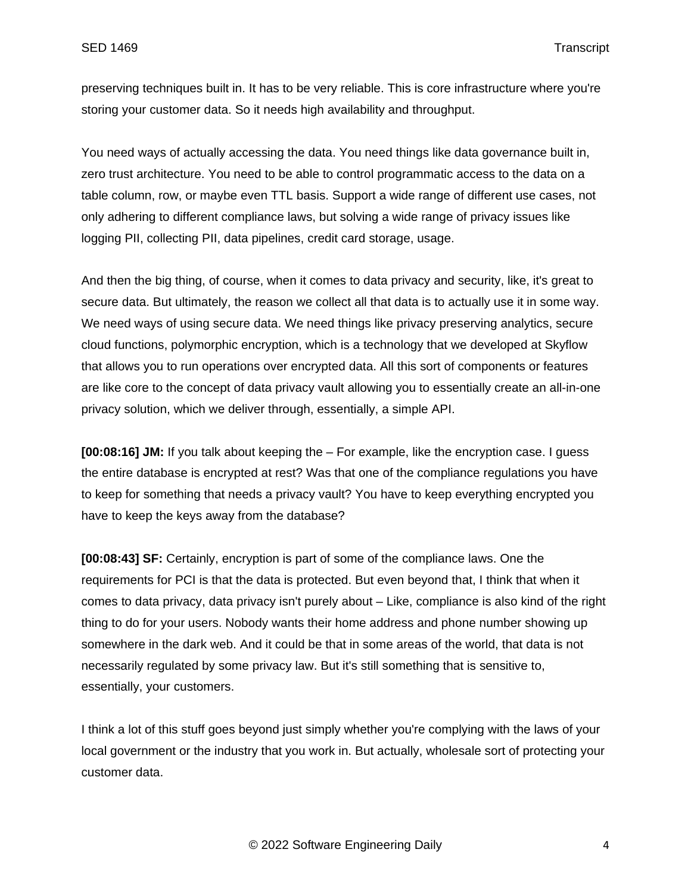preserving techniques built in. It has to be very reliable. This is core infrastructure where you're storing your customer data. So it needs high availability and throughput.

You need ways of actually accessing the data. You need things like data governance built in, zero trust architecture. You need to be able to control programmatic access to the data on a table column, row, or maybe even TTL basis. Support a wide range of different use cases, not only adhering to different compliance laws, but solving a wide range of privacy issues like logging PII, collecting PII, data pipelines, credit card storage, usage.

And then the big thing, of course, when it comes to data privacy and security, like, it's great to secure data. But ultimately, the reason we collect all that data is to actually use it in some way. We need ways of using secure data. We need things like privacy preserving analytics, secure cloud functions, polymorphic encryption, which is a technology that we developed at Skyflow that allows you to run operations over encrypted data. All this sort of components or features are like core to the concept of data privacy vault allowing you to essentially create an all-in-one privacy solution, which we deliver through, essentially, a simple API.

**[00:08:16] JM:** If you talk about keeping the – For example, like the encryption case. I guess the entire database is encrypted at rest? Was that one of the compliance regulations you have to keep for something that needs a privacy vault? You have to keep everything encrypted you have to keep the keys away from the database?

**[00:08:43] SF:** Certainly, encryption is part of some of the compliance laws. One the requirements for PCI is that the data is protected. But even beyond that, I think that when it comes to data privacy, data privacy isn't purely about – Like, compliance is also kind of the right thing to do for your users. Nobody wants their home address and phone number showing up somewhere in the dark web. And it could be that in some areas of the world, that data is not necessarily regulated by some privacy law. But it's still something that is sensitive to, essentially, your customers.

I think a lot of this stuff goes beyond just simply whether you're complying with the laws of your local government or the industry that you work in. But actually, wholesale sort of protecting your customer data.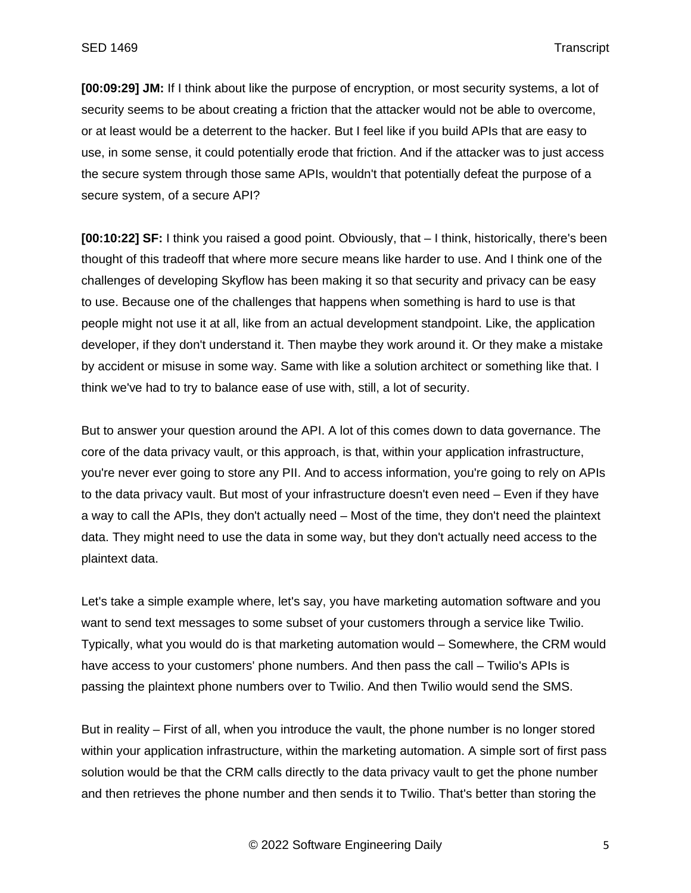**[00:09:29] JM:** If I think about like the purpose of encryption, or most security systems, a lot of security seems to be about creating a friction that the attacker would not be able to overcome, or at least would be a deterrent to the hacker. But I feel like if you build APIs that are easy to use, in some sense, it could potentially erode that friction. And if the attacker was to just access the secure system through those same APIs, wouldn't that potentially defeat the purpose of a secure system, of a secure API?

**[00:10:22] SF:** I think you raised a good point. Obviously, that – I think, historically, there's been thought of this tradeoff that where more secure means like harder to use. And I think one of the challenges of developing Skyflow has been making it so that security and privacy can be easy to use. Because one of the challenges that happens when something is hard to use is that people might not use it at all, like from an actual development standpoint. Like, the application developer, if they don't understand it. Then maybe they work around it. Or they make a mistake by accident or misuse in some way. Same with like a solution architect or something like that. I think we've had to try to balance ease of use with, still, a lot of security.

But to answer your question around the API. A lot of this comes down to data governance. The core of the data privacy vault, or this approach, is that, within your application infrastructure, you're never ever going to store any PII. And to access information, you're going to rely on APIs to the data privacy vault. But most of your infrastructure doesn't even need – Even if they have a way to call the APIs, they don't actually need – Most of the time, they don't need the plaintext data. They might need to use the data in some way, but they don't actually need access to the plaintext data.

Let's take a simple example where, let's say, you have marketing automation software and you want to send text messages to some subset of your customers through a service like Twilio. Typically, what you would do is that marketing automation would – Somewhere, the CRM would have access to your customers' phone numbers. And then pass the call – Twilio's APIs is passing the plaintext phone numbers over to Twilio. And then Twilio would send the SMS.

But in reality – First of all, when you introduce the vault, the phone number is no longer stored within your application infrastructure, within the marketing automation. A simple sort of first pass solution would be that the CRM calls directly to the data privacy vault to get the phone number and then retrieves the phone number and then sends it to Twilio. That's better than storing the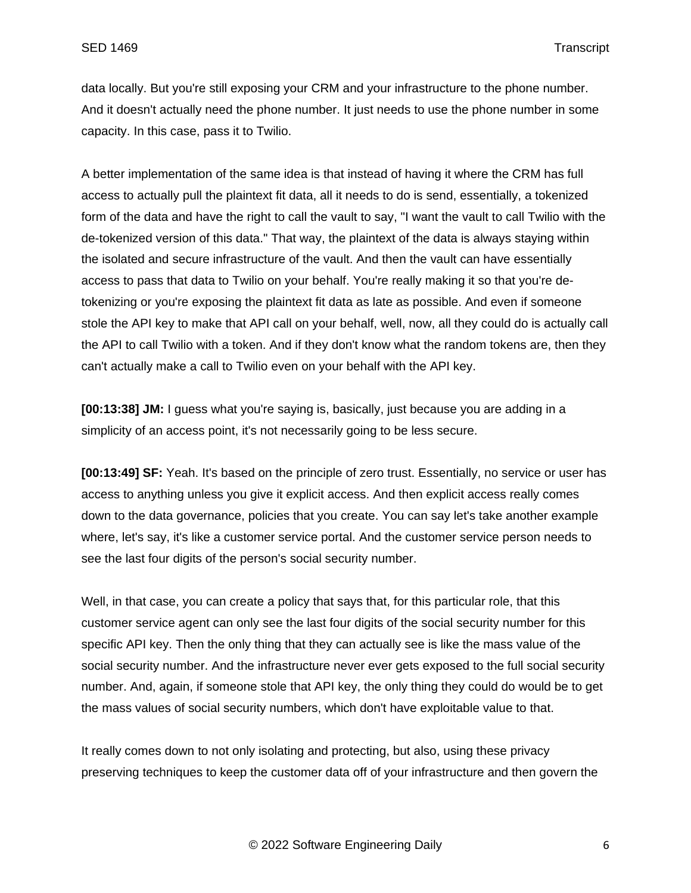data locally. But you're still exposing your CRM and your infrastructure to the phone number. And it doesn't actually need the phone number. It just needs to use the phone number in some capacity. In this case, pass it to Twilio.

A better implementation of the same idea is that instead of having it where the CRM has full access to actually pull the plaintext fit data, all it needs to do is send, essentially, a tokenized form of the data and have the right to call the vault to say, "I want the vault to call Twilio with the de-tokenized version of this data." That way, the plaintext of the data is always staying within the isolated and secure infrastructure of the vault. And then the vault can have essentially access to pass that data to Twilio on your behalf. You're really making it so that you're detokenizing or you're exposing the plaintext fit data as late as possible. And even if someone stole the API key to make that API call on your behalf, well, now, all they could do is actually call the API to call Twilio with a token. And if they don't know what the random tokens are, then they can't actually make a call to Twilio even on your behalf with the API key.

**[00:13:38] JM:** I guess what you're saying is, basically, just because you are adding in a simplicity of an access point, it's not necessarily going to be less secure.

**[00:13:49] SF:** Yeah. It's based on the principle of zero trust. Essentially, no service or user has access to anything unless you give it explicit access. And then explicit access really comes down to the data governance, policies that you create. You can say let's take another example where, let's say, it's like a customer service portal. And the customer service person needs to see the last four digits of the person's social security number.

Well, in that case, you can create a policy that says that, for this particular role, that this customer service agent can only see the last four digits of the social security number for this specific API key. Then the only thing that they can actually see is like the mass value of the social security number. And the infrastructure never ever gets exposed to the full social security number. And, again, if someone stole that API key, the only thing they could do would be to get the mass values of social security numbers, which don't have exploitable value to that.

It really comes down to not only isolating and protecting, but also, using these privacy preserving techniques to keep the customer data off of your infrastructure and then govern the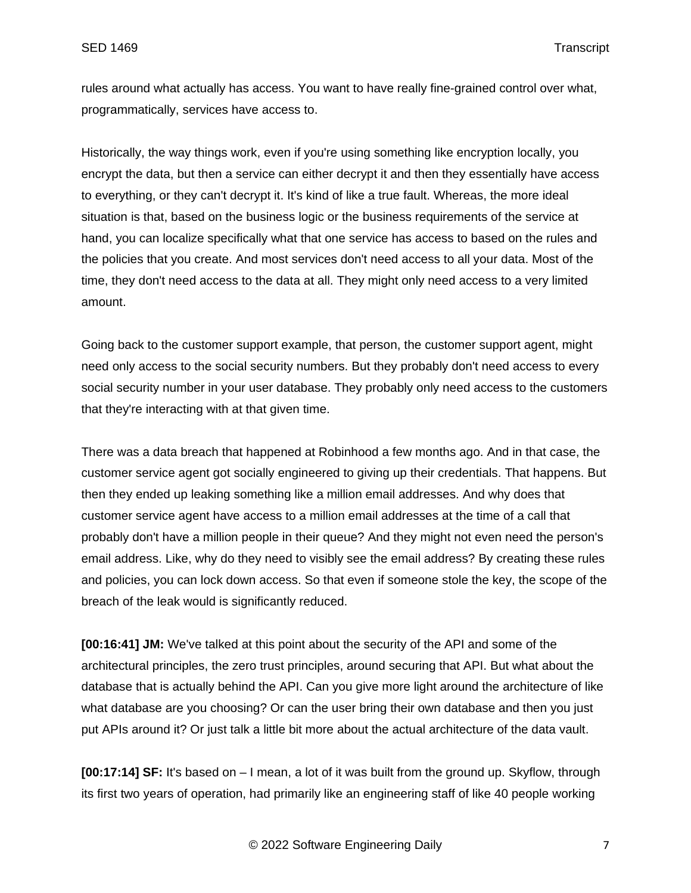rules around what actually has access. You want to have really fine-grained control over what, programmatically, services have access to.

Historically, the way things work, even if you're using something like encryption locally, you encrypt the data, but then a service can either decrypt it and then they essentially have access to everything, or they can't decrypt it. It's kind of like a true fault. Whereas, the more ideal situation is that, based on the business logic or the business requirements of the service at hand, you can localize specifically what that one service has access to based on the rules and the policies that you create. And most services don't need access to all your data. Most of the time, they don't need access to the data at all. They might only need access to a very limited amount.

Going back to the customer support example, that person, the customer support agent, might need only access to the social security numbers. But they probably don't need access to every social security number in your user database. They probably only need access to the customers that they're interacting with at that given time.

There was a data breach that happened at Robinhood a few months ago. And in that case, the customer service agent got socially engineered to giving up their credentials. That happens. But then they ended up leaking something like a million email addresses. And why does that customer service agent have access to a million email addresses at the time of a call that probably don't have a million people in their queue? And they might not even need the person's email address. Like, why do they need to visibly see the email address? By creating these rules and policies, you can lock down access. So that even if someone stole the key, the scope of the breach of the leak would is significantly reduced.

**[00:16:41] JM:** We've talked at this point about the security of the API and some of the architectural principles, the zero trust principles, around securing that API. But what about the database that is actually behind the API. Can you give more light around the architecture of like what database are you choosing? Or can the user bring their own database and then you just put APIs around it? Or just talk a little bit more about the actual architecture of the data vault.

**[00:17:14] SF:** It's based on – I mean, a lot of it was built from the ground up. Skyflow, through its first two years of operation, had primarily like an engineering staff of like 40 people working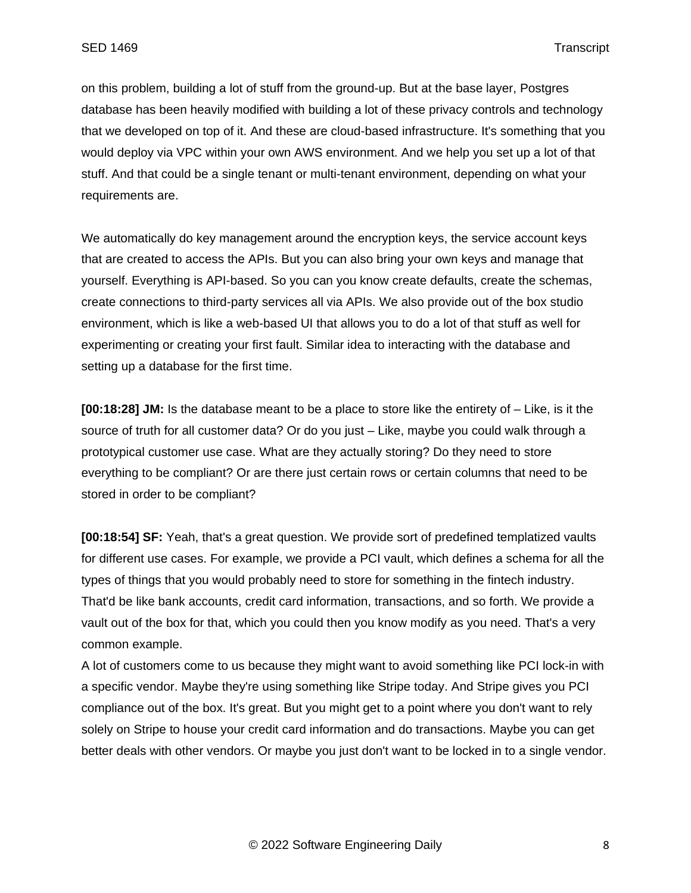on this problem, building a lot of stuff from the ground-up. But at the base layer, Postgres database has been heavily modified with building a lot of these privacy controls and technology that we developed on top of it. And these are cloud-based infrastructure. It's something that you would deploy via VPC within your own AWS environment. And we help you set up a lot of that stuff. And that could be a single tenant or multi-tenant environment, depending on what your requirements are.

We automatically do key management around the encryption keys, the service account keys that are created to access the APIs. But you can also bring your own keys and manage that yourself. Everything is API-based. So you can you know create defaults, create the schemas, create connections to third-party services all via APIs. We also provide out of the box studio environment, which is like a web-based UI that allows you to do a lot of that stuff as well for experimenting or creating your first fault. Similar idea to interacting with the database and setting up a database for the first time.

**[00:18:28] JM:** Is the database meant to be a place to store like the entirety of – Like, is it the source of truth for all customer data? Or do you just – Like, maybe you could walk through a prototypical customer use case. What are they actually storing? Do they need to store everything to be compliant? Or are there just certain rows or certain columns that need to be stored in order to be compliant?

**[00:18:54] SF:** Yeah, that's a great question. We provide sort of predefined templatized vaults for different use cases. For example, we provide a PCI vault, which defines a schema for all the types of things that you would probably need to store for something in the fintech industry. That'd be like bank accounts, credit card information, transactions, and so forth. We provide a vault out of the box for that, which you could then you know modify as you need. That's a very common example.

A lot of customers come to us because they might want to avoid something like PCI lock-in with a specific vendor. Maybe they're using something like Stripe today. And Stripe gives you PCI compliance out of the box. It's great. But you might get to a point where you don't want to rely solely on Stripe to house your credit card information and do transactions. Maybe you can get better deals with other vendors. Or maybe you just don't want to be locked in to a single vendor.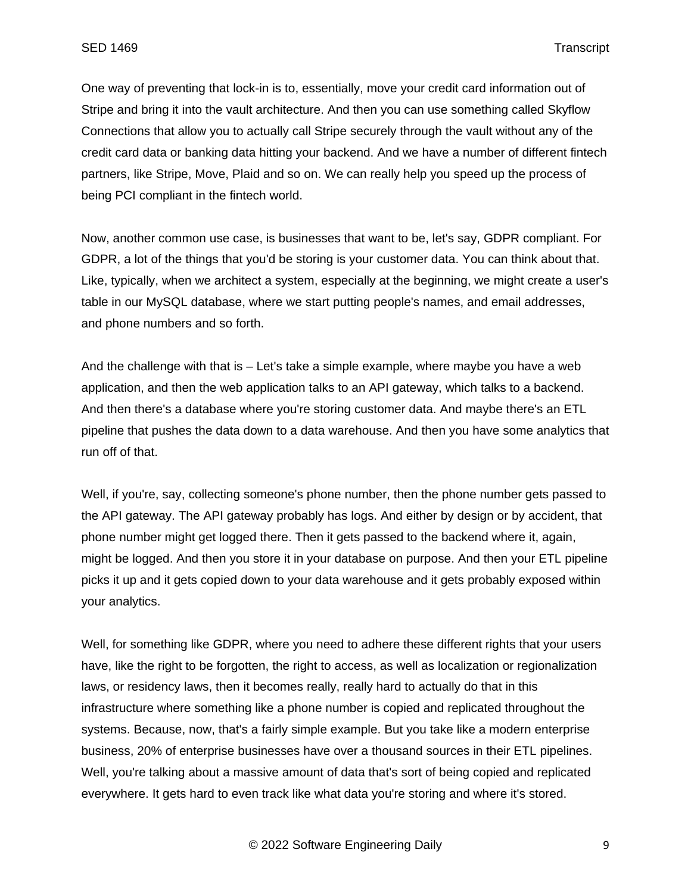One way of preventing that lock-in is to, essentially, move your credit card information out of Stripe and bring it into the vault architecture. And then you can use something called Skyflow Connections that allow you to actually call Stripe securely through the vault without any of the credit card data or banking data hitting your backend. And we have a number of different fintech partners, like Stripe, Move, Plaid and so on. We can really help you speed up the process of being PCI compliant in the fintech world.

Now, another common use case, is businesses that want to be, let's say, GDPR compliant. For GDPR, a lot of the things that you'd be storing is your customer data. You can think about that. Like, typically, when we architect a system, especially at the beginning, we might create a user's table in our MySQL database, where we start putting people's names, and email addresses, and phone numbers and so forth.

And the challenge with that is – Let's take a simple example, where maybe you have a web application, and then the web application talks to an API gateway, which talks to a backend. And then there's a database where you're storing customer data. And maybe there's an ETL pipeline that pushes the data down to a data warehouse. And then you have some analytics that run off of that.

Well, if you're, say, collecting someone's phone number, then the phone number gets passed to the API gateway. The API gateway probably has logs. And either by design or by accident, that phone number might get logged there. Then it gets passed to the backend where it, again, might be logged. And then you store it in your database on purpose. And then your ETL pipeline picks it up and it gets copied down to your data warehouse and it gets probably exposed within your analytics.

Well, for something like GDPR, where you need to adhere these different rights that your users have, like the right to be forgotten, the right to access, as well as localization or regionalization laws, or residency laws, then it becomes really, really hard to actually do that in this infrastructure where something like a phone number is copied and replicated throughout the systems. Because, now, that's a fairly simple example. But you take like a modern enterprise business, 20% of enterprise businesses have over a thousand sources in their ETL pipelines. Well, you're talking about a massive amount of data that's sort of being copied and replicated everywhere. It gets hard to even track like what data you're storing and where it's stored.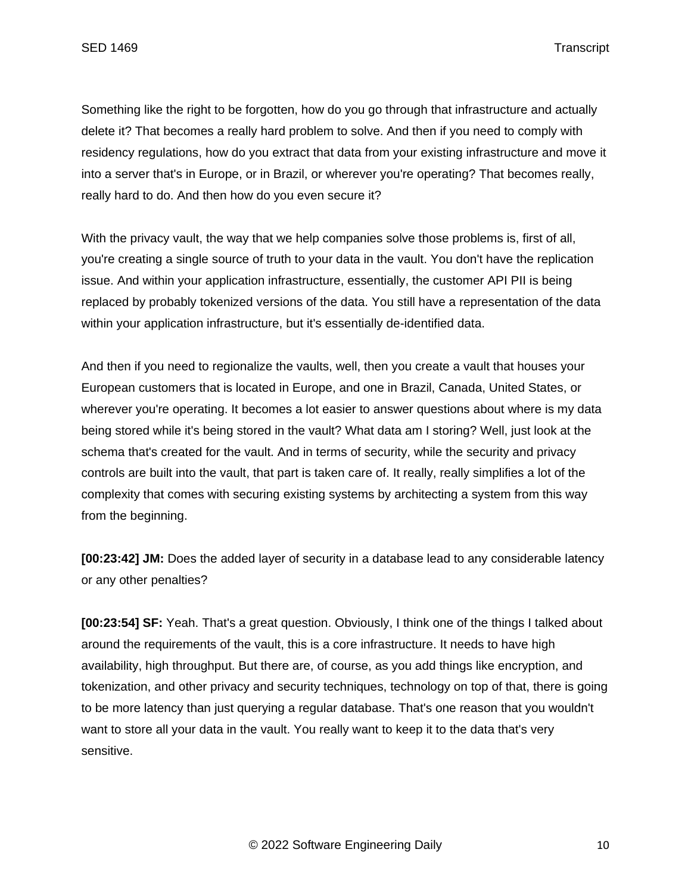Something like the right to be forgotten, how do you go through that infrastructure and actually delete it? That becomes a really hard problem to solve. And then if you need to comply with residency regulations, how do you extract that data from your existing infrastructure and move it into a server that's in Europe, or in Brazil, or wherever you're operating? That becomes really, really hard to do. And then how do you even secure it?

With the privacy vault, the way that we help companies solve those problems is, first of all, you're creating a single source of truth to your data in the vault. You don't have the replication issue. And within your application infrastructure, essentially, the customer API PII is being replaced by probably tokenized versions of the data. You still have a representation of the data within your application infrastructure, but it's essentially de-identified data.

And then if you need to regionalize the vaults, well, then you create a vault that houses your European customers that is located in Europe, and one in Brazil, Canada, United States, or wherever you're operating. It becomes a lot easier to answer questions about where is my data being stored while it's being stored in the vault? What data am I storing? Well, just look at the schema that's created for the vault. And in terms of security, while the security and privacy controls are built into the vault, that part is taken care of. It really, really simplifies a lot of the complexity that comes with securing existing systems by architecting a system from this way from the beginning.

**[00:23:42] JM:** Does the added layer of security in a database lead to any considerable latency or any other penalties?

**[00:23:54] SF:** Yeah. That's a great question. Obviously, I think one of the things I talked about around the requirements of the vault, this is a core infrastructure. It needs to have high availability, high throughput. But there are, of course, as you add things like encryption, and tokenization, and other privacy and security techniques, technology on top of that, there is going to be more latency than just querying a regular database. That's one reason that you wouldn't want to store all your data in the vault. You really want to keep it to the data that's very sensitive.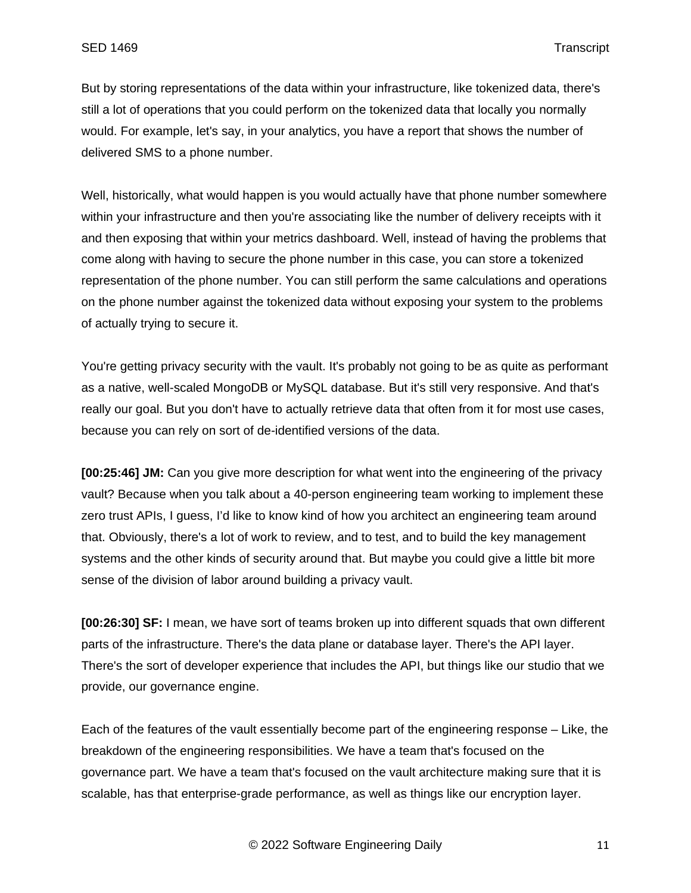But by storing representations of the data within your infrastructure, like tokenized data, there's still a lot of operations that you could perform on the tokenized data that locally you normally would. For example, let's say, in your analytics, you have a report that shows the number of delivered SMS to a phone number.

Well, historically, what would happen is you would actually have that phone number somewhere within your infrastructure and then you're associating like the number of delivery receipts with it and then exposing that within your metrics dashboard. Well, instead of having the problems that come along with having to secure the phone number in this case, you can store a tokenized representation of the phone number. You can still perform the same calculations and operations on the phone number against the tokenized data without exposing your system to the problems of actually trying to secure it.

You're getting privacy security with the vault. It's probably not going to be as quite as performant as a native, well-scaled MongoDB or MySQL database. But it's still very responsive. And that's really our goal. But you don't have to actually retrieve data that often from it for most use cases, because you can rely on sort of de-identified versions of the data.

**[00:25:46] JM:** Can you give more description for what went into the engineering of the privacy vault? Because when you talk about a 40-person engineering team working to implement these zero trust APIs, I guess, I'd like to know kind of how you architect an engineering team around that. Obviously, there's a lot of work to review, and to test, and to build the key management systems and the other kinds of security around that. But maybe you could give a little bit more sense of the division of labor around building a privacy vault.

**[00:26:30] SF:** I mean, we have sort of teams broken up into different squads that own different parts of the infrastructure. There's the data plane or database layer. There's the API layer. There's the sort of developer experience that includes the API, but things like our studio that we provide, our governance engine.

Each of the features of the vault essentially become part of the engineering response – Like, the breakdown of the engineering responsibilities. We have a team that's focused on the governance part. We have a team that's focused on the vault architecture making sure that it is scalable, has that enterprise-grade performance, as well as things like our encryption layer.

© 2022 Software Engineering Daily 11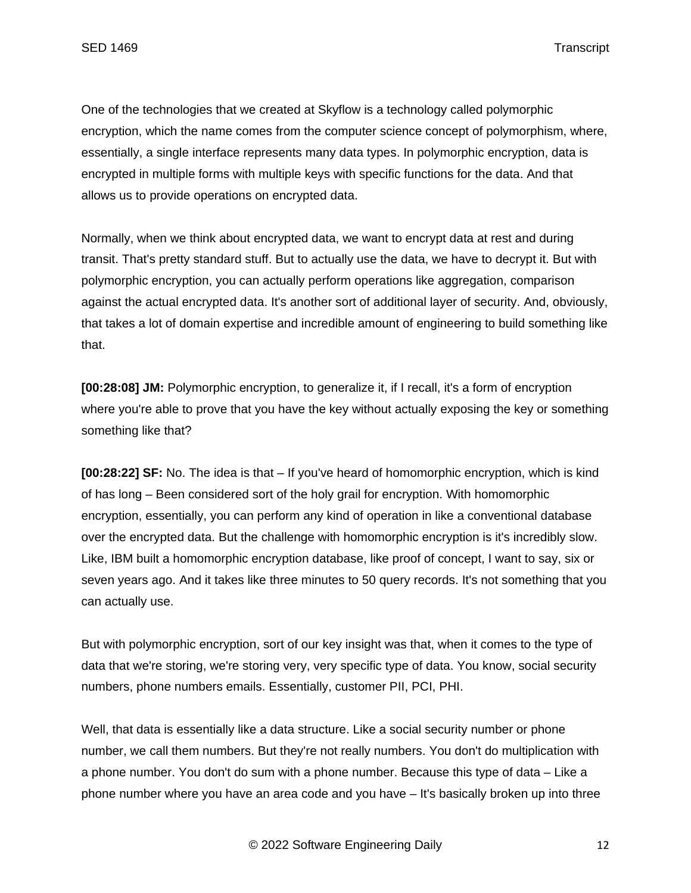One of the technologies that we created at Skyflow is a technology called polymorphic encryption, which the name comes from the computer science concept of polymorphism, where, essentially, a single interface represents many data types. In polymorphic encryption, data is encrypted in multiple forms with multiple keys with specific functions for the data. And that allows us to provide operations on encrypted data.

Normally, when we think about encrypted data, we want to encrypt data at rest and during transit. That's pretty standard stuff. But to actually use the data, we have to decrypt it. But with polymorphic encryption, you can actually perform operations like aggregation, comparison against the actual encrypted data. It's another sort of additional layer of security. And, obviously, that takes a lot of domain expertise and incredible amount of engineering to build something like that.

**[00:28:08] JM:** Polymorphic encryption, to generalize it, if I recall, it's a form of encryption where you're able to prove that you have the key without actually exposing the key or something something like that?

**[00:28:22] SF:** No. The idea is that – If you've heard of homomorphic encryption, which is kind of has long – Been considered sort of the holy grail for encryption. With homomorphic encryption, essentially, you can perform any kind of operation in like a conventional database over the encrypted data. But the challenge with homomorphic encryption is it's incredibly slow. Like, IBM built a homomorphic encryption database, like proof of concept, I want to say, six or seven years ago. And it takes like three minutes to 50 query records. It's not something that you can actually use.

But with polymorphic encryption, sort of our key insight was that, when it comes to the type of data that we're storing, we're storing very, very specific type of data. You know, social security numbers, phone numbers emails. Essentially, customer PII, PCI, PHI.

Well, that data is essentially like a data structure. Like a social security number or phone number, we call them numbers. But they're not really numbers. You don't do multiplication with a phone number. You don't do sum with a phone number. Because this type of data – Like a phone number where you have an area code and you have – It's basically broken up into three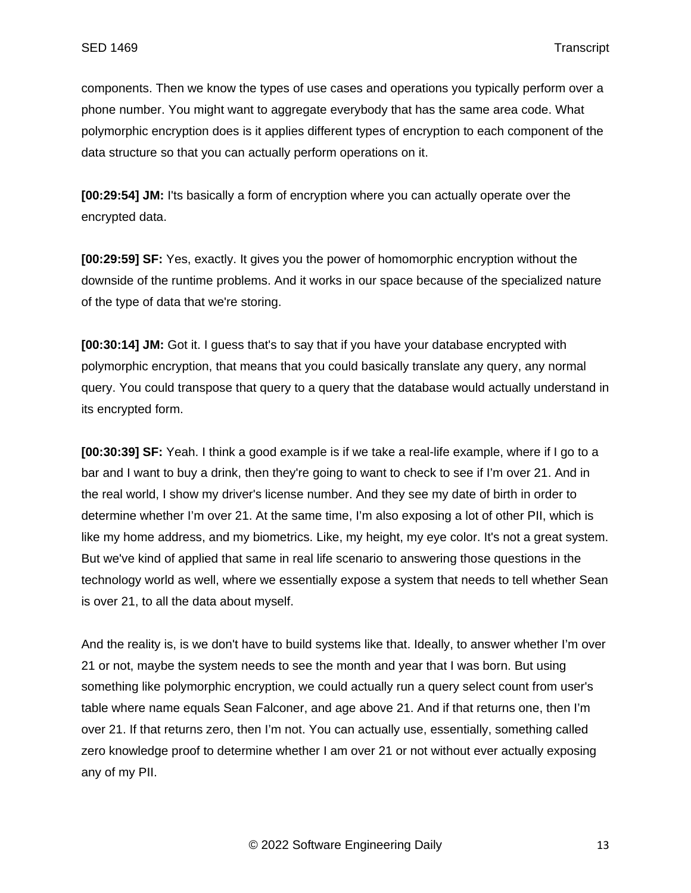components. Then we know the types of use cases and operations you typically perform over a phone number. You might want to aggregate everybody that has the same area code. What polymorphic encryption does is it applies different types of encryption to each component of the data structure so that you can actually perform operations on it.

**[00:29:54] JM:** I'ts basically a form of encryption where you can actually operate over the encrypted data.

**[00:29:59] SF:** Yes, exactly. It gives you the power of homomorphic encryption without the downside of the runtime problems. And it works in our space because of the specialized nature of the type of data that we're storing.

**[00:30:14] JM:** Got it. I guess that's to say that if you have your database encrypted with polymorphic encryption, that means that you could basically translate any query, any normal query. You could transpose that query to a query that the database would actually understand in its encrypted form.

**[00:30:39] SF:** Yeah. I think a good example is if we take a real-life example, where if I go to a bar and I want to buy a drink, then they're going to want to check to see if I'm over 21. And in the real world, I show my driver's license number. And they see my date of birth in order to determine whether I'm over 21. At the same time, I'm also exposing a lot of other PII, which is like my home address, and my biometrics. Like, my height, my eye color. It's not a great system. But we've kind of applied that same in real life scenario to answering those questions in the technology world as well, where we essentially expose a system that needs to tell whether Sean is over 21, to all the data about myself.

And the reality is, is we don't have to build systems like that. Ideally, to answer whether I'm over 21 or not, maybe the system needs to see the month and year that I was born. But using something like polymorphic encryption, we could actually run a query select count from user's table where name equals Sean Falconer, and age above 21. And if that returns one, then I'm over 21. If that returns zero, then I'm not. You can actually use, essentially, something called zero knowledge proof to determine whether I am over 21 or not without ever actually exposing any of my PII.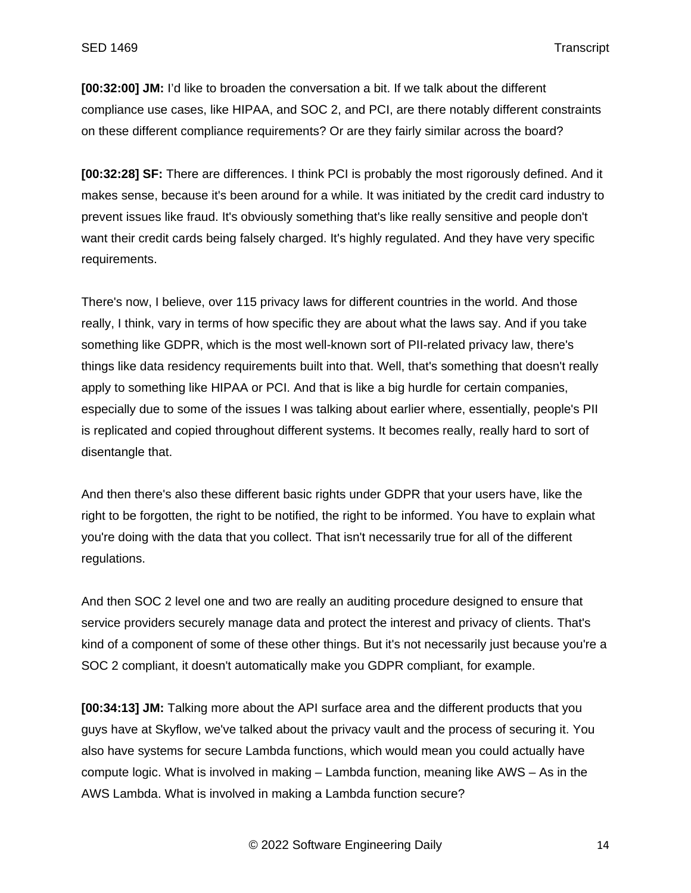**[00:32:00] JM:** I'd like to broaden the conversation a bit. If we talk about the different compliance use cases, like HIPAA, and SOC 2, and PCI, are there notably different constraints on these different compliance requirements? Or are they fairly similar across the board?

**[00:32:28] SF:** There are differences. I think PCI is probably the most rigorously defined. And it makes sense, because it's been around for a while. It was initiated by the credit card industry to prevent issues like fraud. It's obviously something that's like really sensitive and people don't want their credit cards being falsely charged. It's highly regulated. And they have very specific requirements.

There's now, I believe, over 115 privacy laws for different countries in the world. And those really, I think, vary in terms of how specific they are about what the laws say. And if you take something like GDPR, which is the most well-known sort of PII-related privacy law, there's things like data residency requirements built into that. Well, that's something that doesn't really apply to something like HIPAA or PCI. And that is like a big hurdle for certain companies, especially due to some of the issues I was talking about earlier where, essentially, people's PII is replicated and copied throughout different systems. It becomes really, really hard to sort of disentangle that.

And then there's also these different basic rights under GDPR that your users have, like the right to be forgotten, the right to be notified, the right to be informed. You have to explain what you're doing with the data that you collect. That isn't necessarily true for all of the different regulations.

And then SOC 2 level one and two are really an auditing procedure designed to ensure that service providers securely manage data and protect the interest and privacy of clients. That's kind of a component of some of these other things. But it's not necessarily just because you're a SOC 2 compliant, it doesn't automatically make you GDPR compliant, for example.

**[00:34:13] JM:** Talking more about the API surface area and the different products that you guys have at Skyflow, we've talked about the privacy vault and the process of securing it. You also have systems for secure Lambda functions, which would mean you could actually have compute logic. What is involved in making – Lambda function, meaning like AWS – As in the AWS Lambda. What is involved in making a Lambda function secure?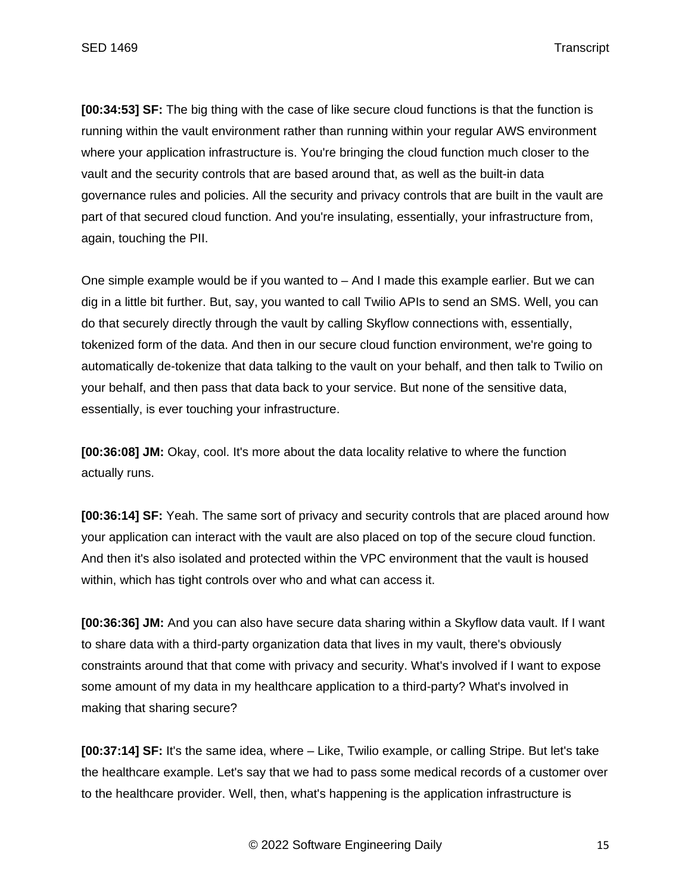**[00:34:53] SF:** The big thing with the case of like secure cloud functions is that the function is running within the vault environment rather than running within your regular AWS environment where your application infrastructure is. You're bringing the cloud function much closer to the vault and the security controls that are based around that, as well as the built-in data governance rules and policies. All the security and privacy controls that are built in the vault are part of that secured cloud function. And you're insulating, essentially, your infrastructure from, again, touching the PII.

One simple example would be if you wanted to – And I made this example earlier. But we can dig in a little bit further. But, say, you wanted to call Twilio APIs to send an SMS. Well, you can do that securely directly through the vault by calling Skyflow connections with, essentially, tokenized form of the data. And then in our secure cloud function environment, we're going to automatically de-tokenize that data talking to the vault on your behalf, and then talk to Twilio on your behalf, and then pass that data back to your service. But none of the sensitive data, essentially, is ever touching your infrastructure.

**[00:36:08] JM:** Okay, cool. It's more about the data locality relative to where the function actually runs.

**[00:36:14] SF:** Yeah. The same sort of privacy and security controls that are placed around how your application can interact with the vault are also placed on top of the secure cloud function. And then it's also isolated and protected within the VPC environment that the vault is housed within, which has tight controls over who and what can access it.

**[00:36:36] JM:** And you can also have secure data sharing within a Skyflow data vault. If I want to share data with a third-party organization data that lives in my vault, there's obviously constraints around that that come with privacy and security. What's involved if I want to expose some amount of my data in my healthcare application to a third-party? What's involved in making that sharing secure?

**[00:37:14] SF:** It's the same idea, where – Like, Twilio example, or calling Stripe. But let's take the healthcare example. Let's say that we had to pass some medical records of a customer over to the healthcare provider. Well, then, what's happening is the application infrastructure is

© 2022 Software Engineering Daily 15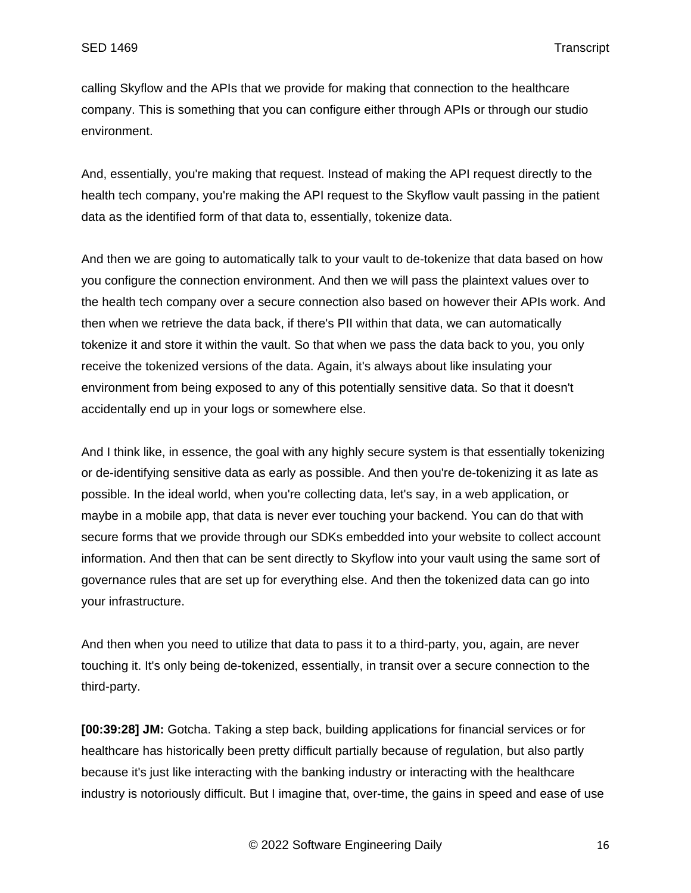calling Skyflow and the APIs that we provide for making that connection to the healthcare company. This is something that you can configure either through APIs or through our studio environment.

And, essentially, you're making that request. Instead of making the API request directly to the health tech company, you're making the API request to the Skyflow vault passing in the patient data as the identified form of that data to, essentially, tokenize data.

And then we are going to automatically talk to your vault to de-tokenize that data based on how you configure the connection environment. And then we will pass the plaintext values over to the health tech company over a secure connection also based on however their APIs work. And then when we retrieve the data back, if there's PII within that data, we can automatically tokenize it and store it within the vault. So that when we pass the data back to you, you only receive the tokenized versions of the data. Again, it's always about like insulating your environment from being exposed to any of this potentially sensitive data. So that it doesn't accidentally end up in your logs or somewhere else.

And I think like, in essence, the goal with any highly secure system is that essentially tokenizing or de-identifying sensitive data as early as possible. And then you're de-tokenizing it as late as possible. In the ideal world, when you're collecting data, let's say, in a web application, or maybe in a mobile app, that data is never ever touching your backend. You can do that with secure forms that we provide through our SDKs embedded into your website to collect account information. And then that can be sent directly to Skyflow into your vault using the same sort of governance rules that are set up for everything else. And then the tokenized data can go into your infrastructure.

And then when you need to utilize that data to pass it to a third-party, you, again, are never touching it. It's only being de-tokenized, essentially, in transit over a secure connection to the third-party.

**[00:39:28] JM:** Gotcha. Taking a step back, building applications for financial services or for healthcare has historically been pretty difficult partially because of regulation, but also partly because it's just like interacting with the banking industry or interacting with the healthcare industry is notoriously difficult. But I imagine that, over-time, the gains in speed and ease of use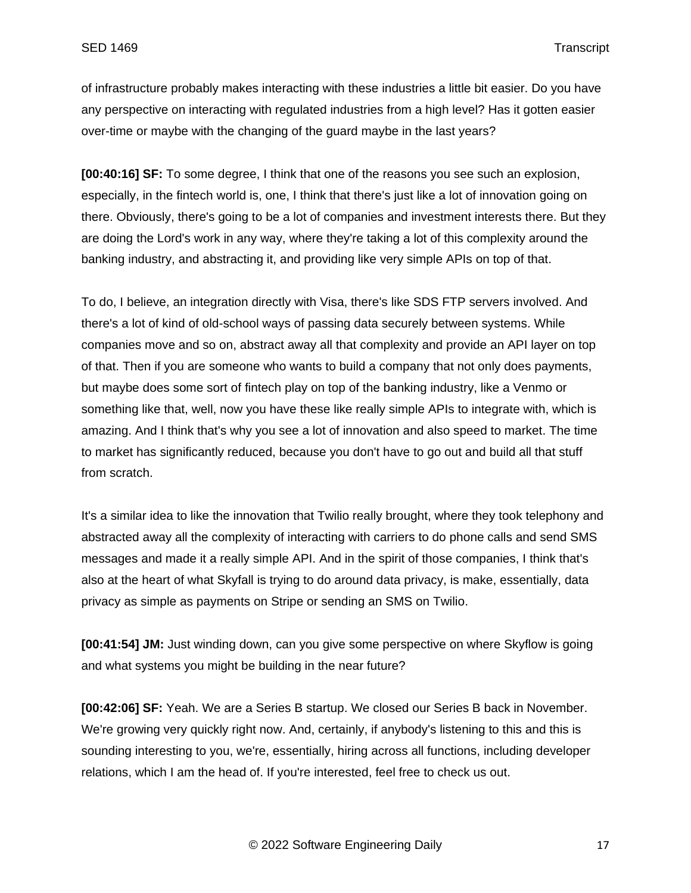of infrastructure probably makes interacting with these industries a little bit easier. Do you have any perspective on interacting with regulated industries from a high level? Has it gotten easier over-time or maybe with the changing of the guard maybe in the last years?

**[00:40:16] SF:** To some degree, I think that one of the reasons you see such an explosion, especially, in the fintech world is, one, I think that there's just like a lot of innovation going on there. Obviously, there's going to be a lot of companies and investment interests there. But they are doing the Lord's work in any way, where they're taking a lot of this complexity around the banking industry, and abstracting it, and providing like very simple APIs on top of that.

To do, I believe, an integration directly with Visa, there's like SDS FTP servers involved. And there's a lot of kind of old-school ways of passing data securely between systems. While companies move and so on, abstract away all that complexity and provide an API layer on top of that. Then if you are someone who wants to build a company that not only does payments, but maybe does some sort of fintech play on top of the banking industry, like a Venmo or something like that, well, now you have these like really simple APIs to integrate with, which is amazing. And I think that's why you see a lot of innovation and also speed to market. The time to market has significantly reduced, because you don't have to go out and build all that stuff from scratch.

It's a similar idea to like the innovation that Twilio really brought, where they took telephony and abstracted away all the complexity of interacting with carriers to do phone calls and send SMS messages and made it a really simple API. And in the spirit of those companies, I think that's also at the heart of what Skyfall is trying to do around data privacy, is make, essentially, data privacy as simple as payments on Stripe or sending an SMS on Twilio.

**[00:41:54] JM:** Just winding down, can you give some perspective on where Skyflow is going and what systems you might be building in the near future?

**[00:42:06] SF:** Yeah. We are a Series B startup. We closed our Series B back in November. We're growing very quickly right now. And, certainly, if anybody's listening to this and this is sounding interesting to you, we're, essentially, hiring across all functions, including developer relations, which I am the head of. If you're interested, feel free to check us out.